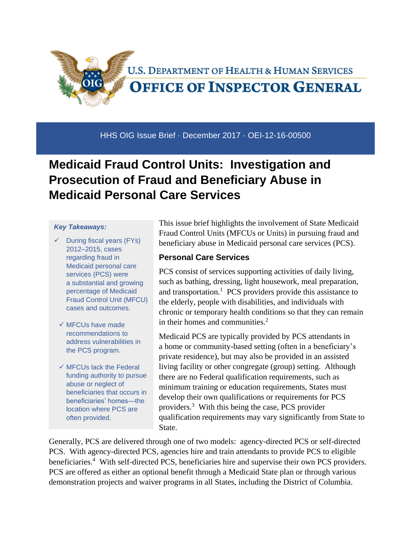

HHS OIG Issue Brief · December 2017 · OEI-12-16-00500

# **Medicaid Fraud Control Units: Investigation and Prosecution of Fraud and Beneficiary Abuse in Medicaid Personal Care Services**

#### *Key Takeaways:*

- $\checkmark$  During fiscal years (FYs) 2012–2015, cases regarding fraud in Medicaid personal care services (PCS) were a substantial and growing percentage of Medicaid Fraud Control Unit (MFCU) cases and outcomes.
- $\checkmark$  MFCUs have made recommendations to address vulnerabilities in the PCS program.
- $\checkmark$  MFCUs lack the Federal funding authority to pursue abuse or neglect of beneficiaries that occurs in beneficiaries' homes—the location where PCS are often provided.

This issue brief highlights the involvement of State Medicaid Fraud Control Units (MFCUs or Units) in pursuing fraud and beneficiary abuse in Medicaid personal care services (PCS).

#### **Personal Care Services**

PCS consist of services supporting activities of daily living, such as bathing, dressing, light housework, meal preparation, and transportation.<sup>1</sup> PCS providers provide this assistance to the elderly, people with disabilities, and individuals with chronic or temporary health conditions so that they can remain in their homes and communities.<sup>2</sup>

Medicaid PCS are typically provided by PCS attendants in a home or community-based setting (often in a beneficiary's private residence), but may also be provided in an assisted living facility or other congregate (group) setting. Although there are no Federal qualification requirements, such as minimum training or education requirements, States must develop their own qualifications or requirements for PCS providers.<sup>3</sup> With this being the case, PCS provider qualification requirements may vary significantly from State to State.

Generally, PCS are delivered through one of two models: agency-directed PCS or self-directed PCS. With agency-directed PCS, agencies hire and train attendants to provide PCS to eligible beneficiaries.<sup>4</sup> With self-directed PCS, beneficiaries hire and supervise their own PCS providers. PCS are offered as either an optional benefit through a Medicaid State plan or through various demonstration projects and waiver programs in all States, including the District of Columbia.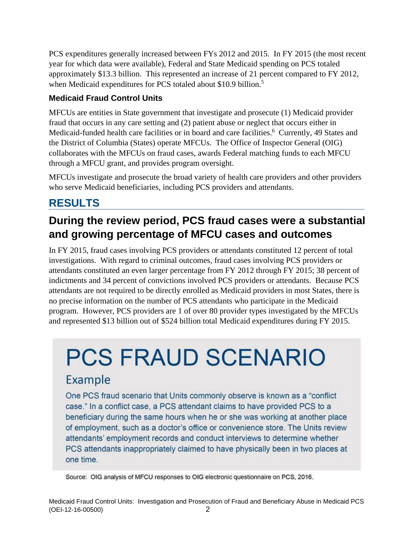PCS expenditures generally increased between FYs 2012 and 2015. In FY 2015 (the most recent year for which data were available), Federal and State Medicaid spending on PCS totaled approximately \$13.3 billion. This represented an increase of 21 percent compared to FY 2012, when Medicaid expenditures for PCS totaled about \$10.9 billion.<sup>5</sup>

#### **Medicaid Fraud Control Units**

MFCUs are entities in State government that investigate and prosecute (1) Medicaid provider fraud that occurs in any care setting and (2) patient abuse or neglect that occurs either in Medicaid-funded health care facilities or in board and care facilities.<sup>6</sup> Currently, 49 States and the District of Columbia (States) operate MFCUs. The Office of Inspector General (OIG) collaborates with the MFCUs on fraud cases, awards Federal matching funds to each MFCU through a MFCU grant, and provides program oversight.

MFCUs investigate and prosecute the broad variety of health care providers and other providers who serve Medicaid beneficiaries, including PCS providers and attendants.

## **RESULTS**

## **During the review period, PCS fraud cases were a substantial and growing percentage of MFCU cases and outcomes**

In FY 2015, fraud cases involving PCS providers or attendants constituted 12 percent of total investigations. With regard to criminal outcomes, fraud cases involving PCS providers or attendants constituted an even larger percentage from FY 2012 through FY 2015; 38 percent of indictments and 34 percent of convictions involved PCS providers or attendants. Because PCS attendants are not required to be directly enrolled as Medicaid providers in most States, there is no precise information on the number of PCS attendants who participate in the Medicaid program. However, PCS providers are 1 of over 80 provider types investigated by the MFCUs and represented \$13 billion out of \$524 billion total Medicaid expenditures during FY 2015.

# **PCS FRAUD SCENARIO**

## Example

One PCS fraud scenario that Units commonly observe is known as a "conflict" case." In a conflict case, a PCS attendant claims to have provided PCS to a beneficiary during the same hours when he or she was working at another place of employment, such as a doctor's office or convenience store. The Units review attendants' employment records and conduct interviews to determine whether PCS attendants inappropriately claimed to have physically been in two places at one time.

Source: OIG analysis of MFCU responses to OIG electronic questionnaire on PCS, 2016.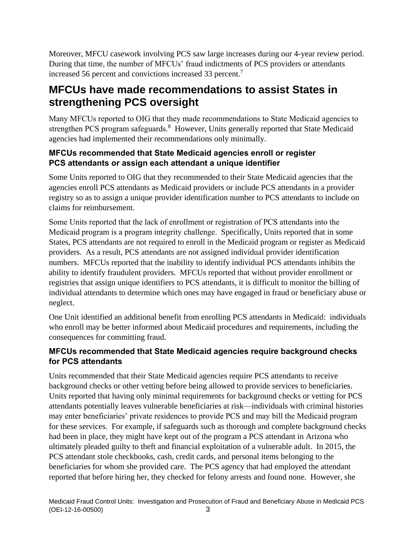Moreover, MFCU casework involving PCS saw large increases during our 4-year review period. During that time, the number of MFCUs' fraud indictments of PCS providers or attendants increased 56 percent and convictions increased 33 percent.<sup>7</sup>

## **MFCUs have made recommendations to assist States in strengthening PCS oversight**

Many MFCUs reported to OIG that they made recommendations to State Medicaid agencies to strengthen PCS program safeguards.<sup>8</sup> However, Units generally reported that State Medicaid agencies had implemented their recommendations only minimally.

#### **MFCUs recommended that State Medicaid agencies enroll or register PCS attendants or assign each attendant a unique identifier**

Some Units reported to OIG that they recommended to their State Medicaid agencies that the agencies enroll PCS attendants as Medicaid providers or include PCS attendants in a provider registry so as to assign a unique provider identification number to PCS attendants to include on claims for reimbursement.

Some Units reported that the lack of enrollment or registration of PCS attendants into the Medicaid program is a program integrity challenge. Specifically, Units reported that in some States, PCS attendants are not required to enroll in the Medicaid program or register as Medicaid providers. As a result, PCS attendants are not assigned individual provider identification numbers. MFCUs reported that the inability to identify individual PCS attendants inhibits the ability to identify fraudulent providers. MFCUs reported that without provider enrollment or registries that assign unique identifiers to PCS attendants, it is difficult to monitor the billing of individual attendants to determine which ones may have engaged in fraud or beneficiary abuse or neglect.

One Unit identified an additional benefit from enrolling PCS attendants in Medicaid: individuals who enroll may be better informed about Medicaid procedures and requirements, including the consequences for committing fraud.

#### **MFCUs recommended that State Medicaid agencies require background checks for PCS attendants**

Units recommended that their State Medicaid agencies require PCS attendants to receive background checks or other vetting before being allowed to provide services to beneficiaries. Units reported that having only minimal requirements for background checks or vetting for PCS attendants potentially leaves vulnerable beneficiaries at risk—individuals with criminal histories may enter beneficiaries' private residences to provide PCS and may bill the Medicaid program for these services. For example, if safeguards such as thorough and complete background checks had been in place, they might have kept out of the program a PCS attendant in Arizona who ultimately pleaded guilty to theft and financial exploitation of a vulnerable adult. In 2015, the PCS attendant stole checkbooks, cash, credit cards, and personal items belonging to the beneficiaries for whom she provided care. The PCS agency that had employed the attendant reported that before hiring her, they checked for felony arrests and found none. However, she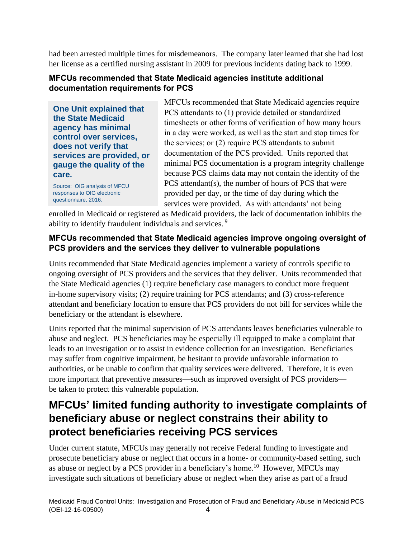had been arrested multiple times for misdemeanors. The company later learned that she had lost her license as a certified nursing assistant in 2009 for previous incidents dating back to 1999.

#### **MFCUs recommended that State Medicaid agencies institute additional documentation requirements for PCS**

**One Unit explained that the State Medicaid agency has minimal control over services, does not verify that services are provided, or gauge the quality of the care.** 

Source: OIG analysis of MFCU responses to OIG electronic questionnaire, 2016.

MFCUs recommended that State Medicaid agencies require PCS attendants to (1) provide detailed or standardized timesheets or other forms of verification of how many hours in a day were worked, as well as the start and stop times for the services; or (2) require PCS attendants to submit documentation of the PCS provided. Units reported that minimal PCS documentation is a program integrity challenge because PCS claims data may not contain the identity of the PCS attendant(s), the number of hours of PCS that were provided per day, or the time of day during which the services were provided. As with attendants' not being

enrolled in Medicaid or registered as Medicaid providers, the lack of documentation inhibits the ability to identify fraudulent individuals and services. <sup>9</sup>

#### **MFCUs recommended that State Medicaid agencies improve ongoing oversight of PCS providers and the services they deliver to vulnerable populations**

Units recommended that State Medicaid agencies implement a variety of controls specific to ongoing oversight of PCS providers and the services that they deliver. Units recommended that the State Medicaid agencies (1) require beneficiary case managers to conduct more frequent in-home supervisory visits; (2) require training for PCS attendants; and (3) cross-reference attendant and beneficiary location to ensure that PCS providers do not bill for services while the beneficiary or the attendant is elsewhere.

Units reported that the minimal supervision of PCS attendants leaves beneficiaries vulnerable to abuse and neglect. PCS beneficiaries may be especially ill equipped to make a complaint that leads to an investigation or to assist in evidence collection for an investigation. Beneficiaries may suffer from cognitive impairment, be hesitant to provide unfavorable information to authorities, or be unable to confirm that quality services were delivered. Therefore, it is even more important that preventive measures—such as improved oversight of PCS providers be taken to protect this vulnerable population.

## **MFCUs' limited funding authority to investigate complaints of beneficiary abuse or neglect constrains their ability to protect beneficiaries receiving PCS services**

Under current statute, MFCUs may generally not receive Federal funding to investigate and prosecute beneficiary abuse or neglect that occurs in a home- or community-based setting, such as abuse or neglect by a PCS provider in a beneficiary's home.<sup>10</sup> However, MFCUs may investigate such situations of beneficiary abuse or neglect when they arise as part of a fraud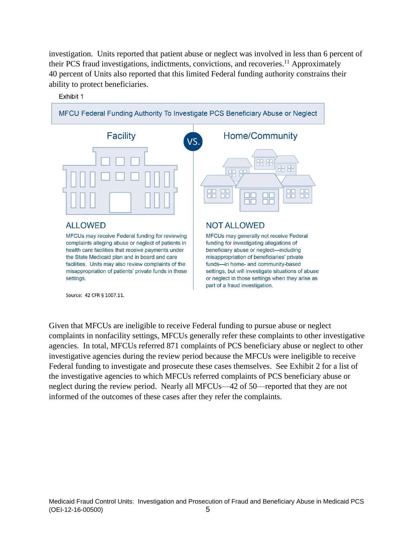investigation. Units reported that patient abuse or neglect was involved in less than 6 percent of their PCS fraud investigations, indictments, convictions, and recoveries.<sup>11</sup> Approximately 40 percent of Units also reported that this limited Federal funding authority constrains their ability to protect beneficiaries.



Given that MFCUs are ineligible to receive Federal funding to pursue abuse or neglect complaints in nonfacility settings, MFCUs generally refer these complaints to other investigative agencies. In total, MFCUs referred 871 complaints of PCS beneficiary abuse or neglect to other investigative agencies during the review period because the MFCUs were ineligible to receive Federal funding to investigate and prosecute these cases themselves. See Exhibit 2 for a list of the investigative agencies to which MFCUs referred complaints of PCS beneficiary abuse or neglect during the review period. Nearly all MFCUs—42 of 50—reported that they are not informed of the outcomes of these cases after they refer the complaints.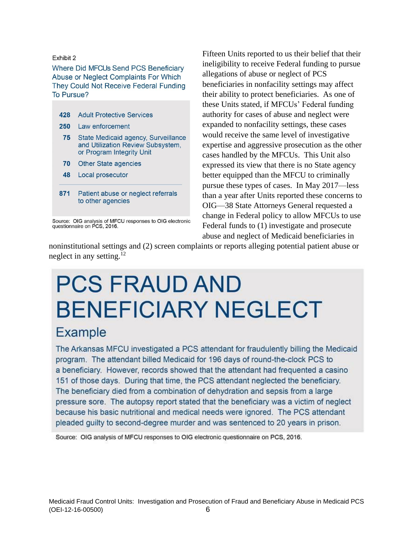#### Fxhibit 2

 $\overline{\mathbf{A}}$ 

#### Where Did MFCUs Send PCS Beneficiary Abuse or Neglect Complaints For Which They Could Not Receive Federal Funding To Pursue?

| 428 | <b>Adult Protective Services</b>                                                                      |
|-----|-------------------------------------------------------------------------------------------------------|
| 250 | Law enforcement                                                                                       |
| 75  | State Medicaid agency, Surveillance<br>and Utilization Review Subsystem,<br>or Program Integrity Unit |
| 70  | <b>Other State agencies</b>                                                                           |
| 48  | Local prosecutor                                                                                      |
|     |                                                                                                       |

871 Patient abuse or neglect referrals to other agencies

Fifteen Units reported to us their belief that their ineligibility to receive Federal funding to pursue allegations of abuse or neglect of PCS beneficiaries in nonfacility settings may affect their ability to protect beneficiaries. As one of these Units stated, if MFCUs' Federal funding authority for cases of abuse and neglect were expanded to nonfacility settings, these cases would receive the same level of investigative expertise and aggressive prosecution as the other cases handled by the MFCUs. This Unit also expressed its view that there is no State agency better equipped than the MFCU to criminally pursue these types of cases. In May 2017—less than a year after Units reported these concerns to OIG—38 State Attorneys General requested a change in Federal policy to allow MFCUs to use Federal funds to (1) investigate and prosecute abuse and neglect of Medicaid beneficiaries in

noninstitutional settings and (2) screen complaints or reports alleging potential patient abuse or neglect in any setting.<sup>12</sup>

# **PCS FRAUD AND BENEFICIARY NEGLECT**

## **Example**

The Arkansas MFCU investigated a PCS attendant for fraudulently billing the Medicaid program. The attendant billed Medicaid for 196 days of round-the-clock PCS to a beneficiary. However, records showed that the attendant had frequented a casino 151 of those days. During that time, the PCS attendant neglected the beneficiary. The beneficiary died from a combination of dehydration and sepsis from a large pressure sore. The autopsy report stated that the beneficiary was a victim of neglect because his basic nutritional and medical needs were ignored. The PCS attendant pleaded guilty to second-degree murder and was sentenced to 20 years in prison.

Source: OIG analysis of MFCU responses to OIG electronic questionnaire on PCS, 2016.

Source: OIG analysis of MFCU responses to OIG electronic<br>questionnaire on PCS, 2016.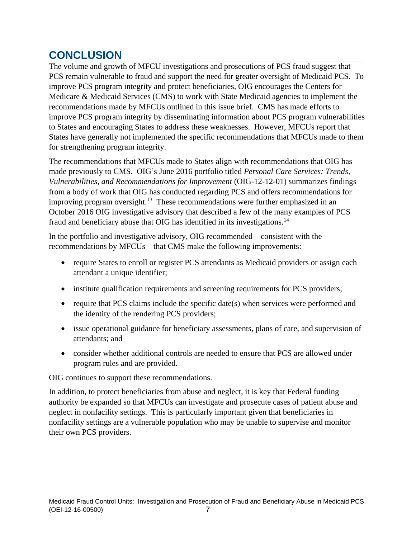## **CONCLUSION**

The volume and growth of MFCU investigations and prosecutions of PCS fraud suggest that PCS remain vulnerable to fraud and support the need for greater oversight of Medicaid PCS. To improve PCS program integrity and protect beneficiaries, OIG encourages the Centers for Medicare & Medicaid Services (CMS) to work with State Medicaid agencies to implement the recommendations made by MFCUs outlined in this issue brief. CMS has made efforts to improve PCS program integrity by disseminating information about PCS program vulnerabilities to States and encouraging States to address these weaknesses. However, MFCUs report that States have generally not implemented the specific recommendations that MFCUs made to them for strengthening program integrity.

The recommendations that MFCUs made to States align with recommendations that OIG has made previously to CMS. OIG's June 2016 portfolio titled *Personal Care Services: Trends, Vulnerabilities, and Recommendations for Improvement* (OIG-12-12-01) summarizes findings from a body of work that OIG has conducted regarding PCS and offers recommendations for improving program oversight.<sup>13</sup> These recommendations were further emphasized in an October 2016 OIG investigative advisory that described a few of the many examples of PCS fraud and beneficiary abuse that OIG has identified in its investigations.<sup>14</sup>

In the portfolio and investigative advisory, OIG recommended—consistent with the recommendations by MFCUs—that CMS make the following improvements:

- require States to enroll or register PCS attendants as Medicaid providers or assign each attendant a unique identifier;
- institute qualification requirements and screening requirements for PCS providers;
- require that PCS claims include the specific date(s) when services were performed and the identity of the rendering PCS providers;
- issue operational guidance for beneficiary assessments, plans of care, and supervision of attendants; and
- consider whether additional controls are needed to ensure that PCS are allowed under program rules and are provided.

OIG continues to support these recommendations.

In addition, to protect beneficiaries from abuse and neglect, it is key that Federal funding authority be expanded so that MFCUs can investigate and prosecute cases of patient abuse and neglect in nonfacility settings. This is particularly important given that beneficiaries in nonfacility settings are a vulnerable population who may be unable to supervise and monitor their own PCS providers.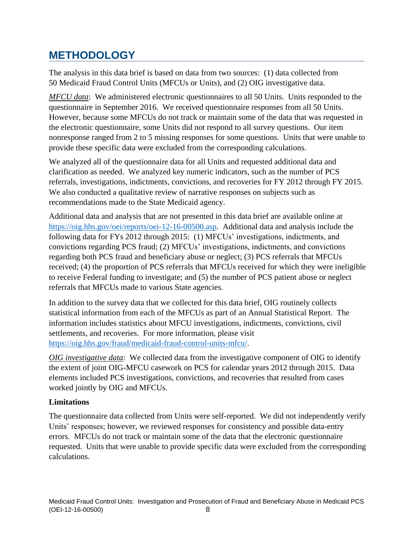## **METHODOLOGY**

The analysis in this data brief is based on data from two sources: (1) data collected from 50 Medicaid Fraud Control Units (MFCUs or Units), and (2) OIG investigative data.

*MFCU data*: We administered electronic questionnaires to all 50 Units. Units responded to the questionnaire in September 2016. We received questionnaire responses from all 50 Units. However, because some MFCUs do not track or maintain some of the data that was requested in the electronic questionnaire, some Units did not respond to all survey questions. Our item nonresponse ranged from 2 to 5 missing responses for some questions. Units that were unable to provide these specific data were excluded from the corresponding calculations.

We analyzed all of the questionnaire data for all Units and requested additional data and clarification as needed. We analyzed key numeric indicators, such as the number of PCS referrals, investigations, indictments, convictions, and recoveries for FY 2012 through FY 2015. We also conducted a qualitative review of narrative responses on subjects such as recommendations made to the State Medicaid agency.

Additional data and analysis that are not presented in this data brief are available online at [https://oig.hhs.gov/oei/reports/oei-12-16-00500.asp.](https://oig.hhs.gov/oei/reports/oei-12-16-00500.asp) Additional data and analysis include the following data for FYs 2012 through 2015: (1) MFCUs' investigations, indictments, and convictions regarding PCS fraud; (2) MFCUs' investigations, indictments, and convictions regarding both PCS fraud and beneficiary abuse or neglect; (3) PCS referrals that MFCUs received; (4) the proportion of PCS referrals that MFCUs received for which they were ineligible to receive Federal funding to investigate; and (5) the number of PCS patient abuse or neglect referrals that MFCUs made to various State agencies.

In addition to the survey data that we collected for this data brief, OIG routinely collects statistical information from each of the MFCUs as part of an Annual Statistical Report. The information includes statistics about MFCU investigations, indictments, convictions, civil settlements, and recoveries. For more information, please visit [https://oig.hhs.gov/fraud/medicaid-fraud-control-units-mfcu/.](https://oig.hhs.gov/fraud/medicaid-fraud-control-units-mfcu/)

*OIG investigative data*: We collected data from the investigative component of OIG to identify the extent of joint OIG-MFCU casework on PCS for calendar years 2012 through 2015. Data elements included PCS investigations, convictions, and recoveries that resulted from cases worked jointly by OIG and MFCUs.

#### **Limitations**

The questionnaire data collected from Units were self-reported. We did not independently verify Units' responses; however, we reviewed responses for consistency and possible data-entry errors. MFCUs do not track or maintain some of the data that the electronic questionnaire requested. Units that were unable to provide specific data were excluded from the corresponding calculations.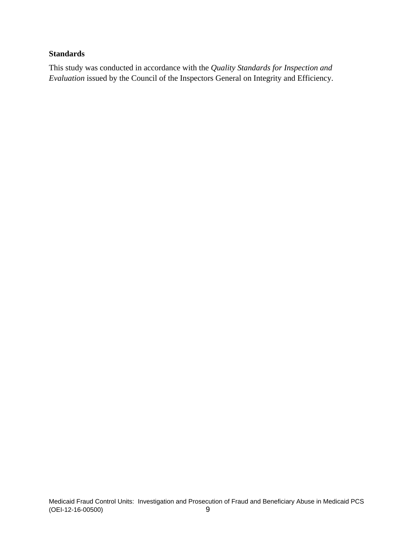#### **Standards**

This study was conducted in accordance with the *Quality Standards for Inspection and Evaluation* issued by the Council of the Inspectors General on Integrity and Efficiency.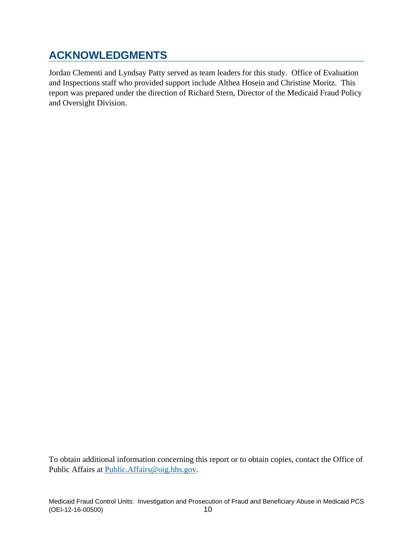## **ACKNOWLEDGMENTS**

Jordan Clementi and Lyndsay Patty served as team leaders for this study. Office of Evaluation and Inspections staff who provided support include Althea Hosein and Christine Moritz. This report was prepared under the direction of Richard Stern, Director of the Medicaid Fraud Policy and Oversight Division.

To obtain additional information concerning this report or to obtain copies, contact the Office of Public Affairs at [Public.Affairs@oig.hhs.gov.](mailto:Public.Affairs@oig.hhs.gov)